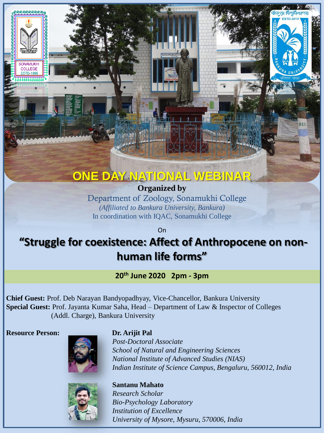# **ONE DAY NATIONAL WEBINAR**

**Organized by**  Department of Zoology, Sonamukhi College *(Affiliated to Bankura University, Bankura)* In coordination with IQAC, Sonamukhi College

On

# **"Struggle for coexistence: Affect of Anthropocene on nonhuman life forms"**

**20th June 2020 2pm - 3pm**

**Chief Guest:** Prof. Deb Narayan Bandyopadhyay, Vice-Chancellor, Bankura University **Special Guest:** Prof. Jayanta Kumar Saha, Head – Department of Law & Inspector of Colleges (Addl. Charge), Bankura University

**Resource Person: Dr. Arijit Pal**

**NAMLIKH** COLLEGE



*Post-Doctoral Associate School of Natural and Engineering Sciences National Institute of Advanced Studies (NIAS) Indian Institute of Science Campus, Bengaluru, 560012, India*



**Santanu Mahato** *Research Scholar Bio-Psychology Laboratory Institution of Excellence University of Mysore, Mysuru, 570006, India*